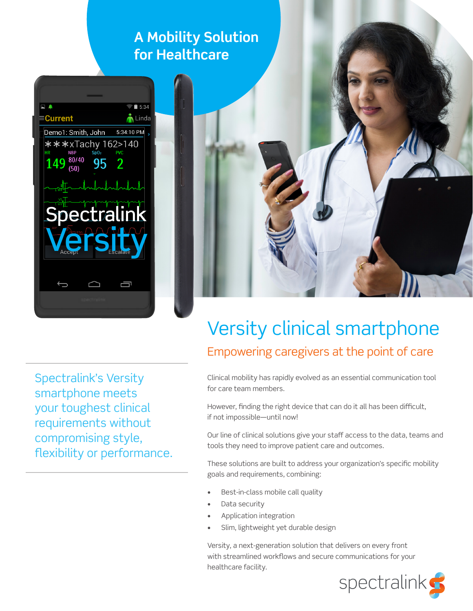### **A Mobility Solution for Healthcare**



Spectralink's Versity smartphone meets your toughest clinical requirements without compromising style, flexibility or performance.



# Versity clinical smartphone Empowering caregivers at the point of care

Clinical mobility has rapidly evolved as an essential communication tool for care team members.

However, finding the right device that can do it all has been difficult, if not impossible—until now!

Our line of clinical solutions give your staff access to the data, teams and tools they need to improve patient care and outcomes.

These solutions are built to address your organization's specific mobility goals and requirements, combining:

- Best-in-class mobile call quality
- Data security
- Application integration
- Slim, lightweight yet durable design

Versity, a next-generation solution that delivers on every front with streamlined workflows and secure communications for your healthcare facility.